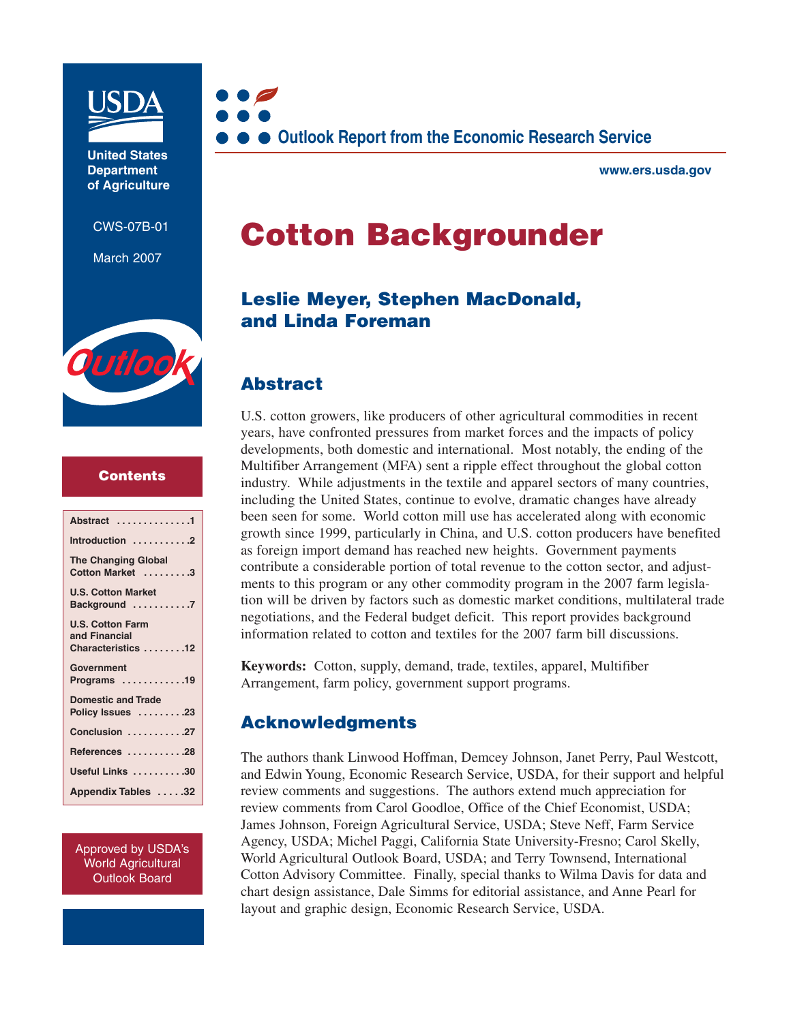

**United States Department of Agriculture**

CWS-07B-01

March 2007



#### **Contents**

Approved by USDA's World Agricultural Outlook Board



**www.ers.usda.gov**

# **Cotton Backgrounder**

# **Leslie Meyer, Stephen MacDonald, and Linda Foreman**

# **Abstract**

U.S. cotton growers, like producers of other agricultural commodities in recent years, have confronted pressures from market forces and the impacts of policy developments, both domestic and international. Most notably, the ending of the Multifiber Arrangement (MFA) sent a ripple effect throughout the global cotton industry. While adjustments in the textile and apparel sectors of many countries, including the United States, continue to evolve, dramatic changes have already been seen for some. World cotton mill use has accelerated along with economic growth since 1999, particularly in China, and U.S. cotton producers have benefited as foreign import demand has reached new heights. Government payments contribute a considerable portion of total revenue to the cotton sector, and adjustments to this program or any other commodity program in the 2007 farm legislation will be driven by factors such as domestic market conditions, multilateral trade negotiations, and the Federal budget deficit. This report provides background information related to cotton and textiles for the 2007 farm bill discussions.

**Keywords:** Cotton, supply, demand, trade, textiles, apparel, Multifiber Arrangement, farm policy, government support programs.

# **Acknowledgments**

The authors thank Linwood Hoffman, Demcey Johnson, Janet Perry, Paul Westcott, and Edwin Young, Economic Research Service, USDA, for their support and helpful review comments and suggestions. The authors extend much appreciation for review comments from Carol Goodloe, Office of the Chief Economist, USDA; James Johnson, Foreign Agricultural Service, USDA; Steve Neff, Farm Service Agency, USDA; Michel Paggi, California State University-Fresno; Carol Skelly, World Agricultural Outlook Board, USDA; and Terry Townsend, International Cotton Advisory Committee. Finally, special thanks to Wilma Davis for data and chart design assistance, Dale Simms for editorial assistance, and Anne Pearl for layout and graphic design, Economic Research Service, USDA.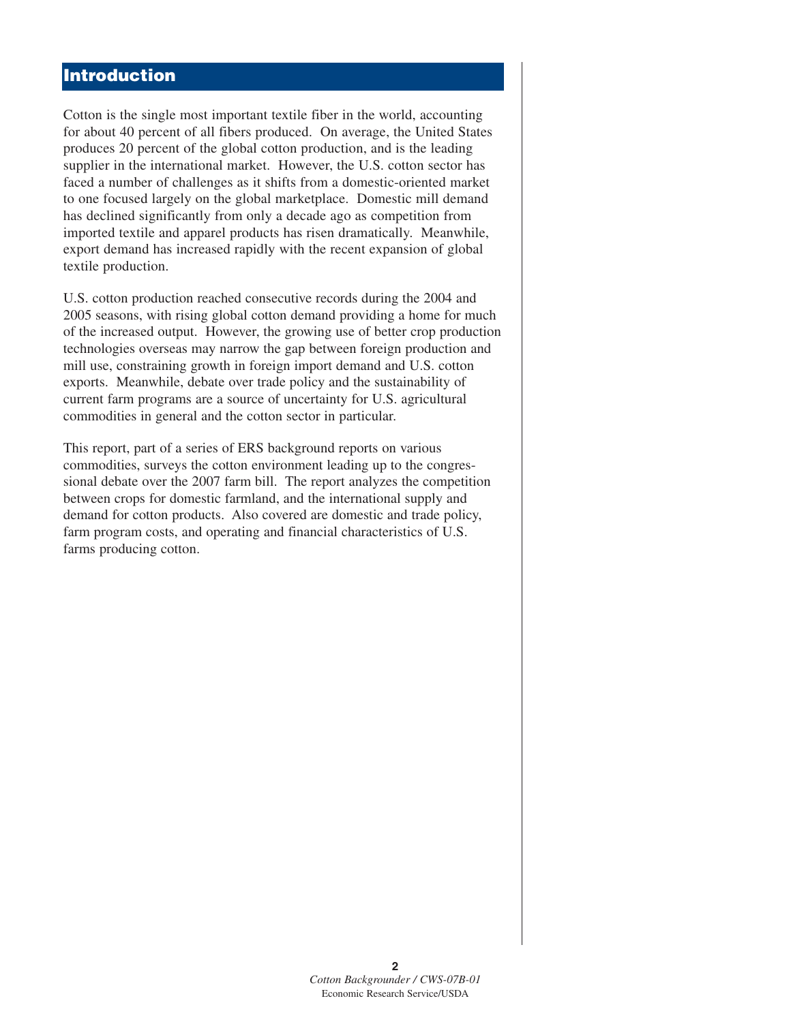### **Introduction**

Cotton is the single most important textile fiber in the world, accounting for about 40 percent of all fibers produced. On average, the United States produces 20 percent of the global cotton production, and is the leading supplier in the international market. However, the U.S. cotton sector has faced a number of challenges as it shifts from a domestic-oriented market to one focused largely on the global marketplace. Domestic mill demand has declined significantly from only a decade ago as competition from imported textile and apparel products has risen dramatically. Meanwhile, export demand has increased rapidly with the recent expansion of global textile production.

U.S. cotton production reached consecutive records during the 2004 and 2005 seasons, with rising global cotton demand providing a home for much of the increased output. However, the growing use of better crop production technologies overseas may narrow the gap between foreign production and mill use, constraining growth in foreign import demand and U.S. cotton exports. Meanwhile, debate over trade policy and the sustainability of current farm programs are a source of uncertainty for U.S. agricultural commodities in general and the cotton sector in particular.

This report, part of a series of ERS background reports on various commodities, surveys the cotton environment leading up to the congressional debate over the 2007 farm bill. The report analyzes the competition between crops for domestic farmland, and the international supply and demand for cotton products. Also covered are domestic and trade policy, farm program costs, and operating and financial characteristics of U.S. farms producing cotton.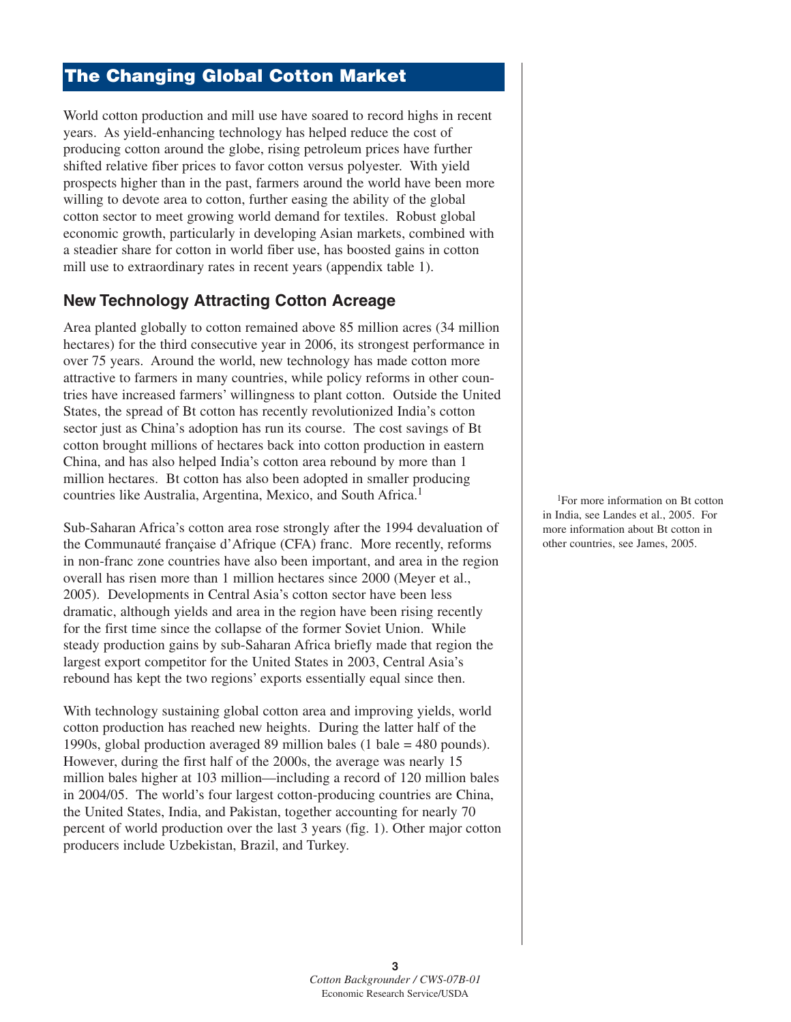# **The Changing Global Cotton Market**

World cotton production and mill use have soared to record highs in recent years. As yield-enhancing technology has helped reduce the cost of producing cotton around the globe, rising petroleum prices have further shifted relative fiber prices to favor cotton versus polyester. With yield prospects higher than in the past, farmers around the world have been more willing to devote area to cotton, further easing the ability of the global cotton sector to meet growing world demand for textiles. Robust global economic growth, particularly in developing Asian markets, combined with a steadier share for cotton in world fiber use, has boosted gains in cotton mill use to extraordinary rates in recent years (appendix table 1).

# **New Technology Attracting Cotton Acreage**

Area planted globally to cotton remained above 85 million acres (34 million hectares) for the third consecutive year in 2006, its strongest performance in over 75 years. Around the world, new technology has made cotton more attractive to farmers in many countries, while policy reforms in other countries have increased farmers' willingness to plant cotton. Outside the United States, the spread of Bt cotton has recently revolutionized India's cotton sector just as China's adoption has run its course. The cost savings of Bt cotton brought millions of hectares back into cotton production in eastern China, and has also helped India's cotton area rebound by more than 1 million hectares. Bt cotton has also been adopted in smaller producing countries like Australia, Argentina, Mexico, and South Africa.<sup>1</sup>

Sub-Saharan Africa's cotton area rose strongly after the 1994 devaluation of the Communauté française d'Afrique (CFA) franc. More recently, reforms in non-franc zone countries have also been important, and area in the region overall has risen more than 1 million hectares since 2000 (Meyer et al., 2005). Developments in Central Asia's cotton sector have been less dramatic, although yields and area in the region have been rising recently for the first time since the collapse of the former Soviet Union. While steady production gains by sub-Saharan Africa briefly made that region the largest export competitor for the United States in 2003, Central Asia's rebound has kept the two regions' exports essentially equal since then.

With technology sustaining global cotton area and improving yields, world cotton production has reached new heights. During the latter half of the 1990s, global production averaged 89 million bales (1 bale = 480 pounds). However, during the first half of the 2000s, the average was nearly 15 million bales higher at 103 million—including a record of 120 million bales in 2004/05. The world's four largest cotton-producing countries are China, the United States, India, and Pakistan, together accounting for nearly 70 percent of world production over the last 3 years (fig. 1). Other major cotton producers include Uzbekistan, Brazil, and Turkey.

<sup>1</sup>For more information on Bt cotton in India, see Landes et al., 2005. For more information about Bt cotton in other countries, see James, 2005.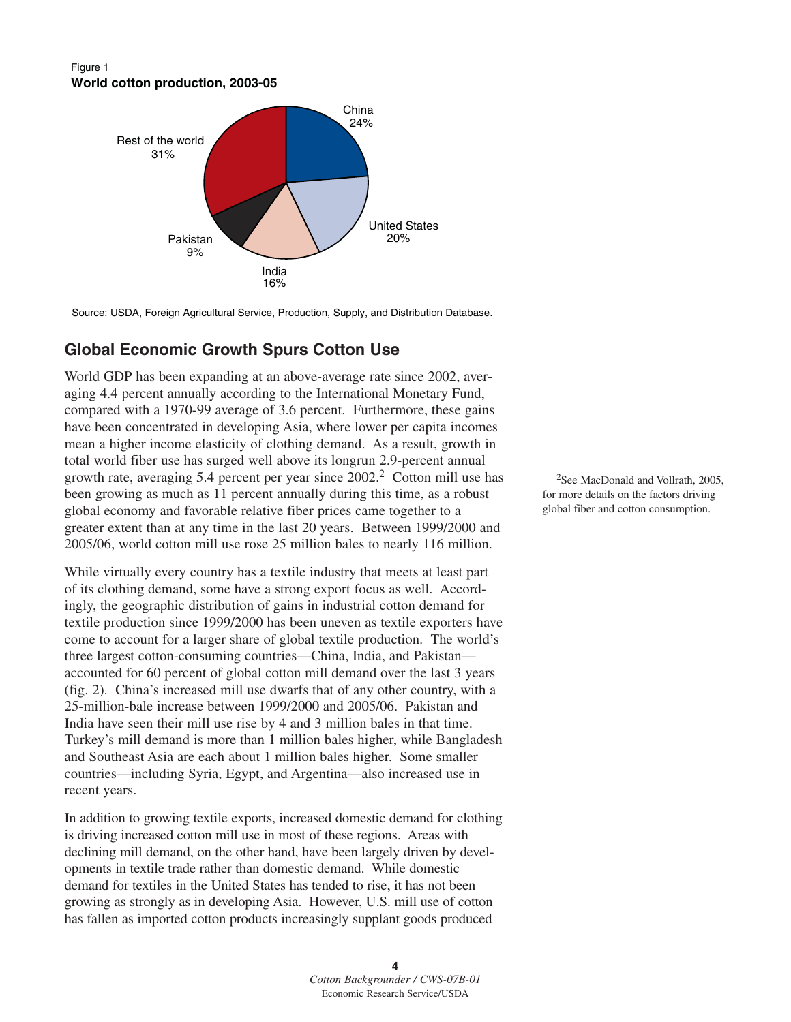#### Figure 1 **World cotton production, 2003-05**



Source: USDA, Foreign Agricultural Service, Production, Supply, and Distribution Database.

# **Global Economic Growth Spurs Cotton Use**

World GDP has been expanding at an above-average rate since 2002, averaging 4.4 percent annually according to the International Monetary Fund, compared with a 1970-99 average of 3.6 percent. Furthermore, these gains have been concentrated in developing Asia, where lower per capita incomes mean a higher income elasticity of clothing demand. As a result, growth in total world fiber use has surged well above its longrun 2.9-percent annual growth rate, averaging 5.4 percent per year since 2002.<sup>2</sup> Cotton mill use has been growing as much as 11 percent annually during this time, as a robust global economy and favorable relative fiber prices came together to a greater extent than at any time in the last 20 years. Between 1999/2000 and 2005/06, world cotton mill use rose 25 million bales to nearly 116 million.

While virtually every country has a textile industry that meets at least part of its clothing demand, some have a strong export focus as well. Accordingly, the geographic distribution of gains in industrial cotton demand for textile production since 1999/2000 has been uneven as textile exporters have come to account for a larger share of global textile production. The world's three largest cotton-consuming countries—China, India, and Pakistan accounted for 60 percent of global cotton mill demand over the last 3 years (fig. 2). China's increased mill use dwarfs that of any other country, with a 25-million-bale increase between 1999/2000 and 2005/06. Pakistan and India have seen their mill use rise by 4 and 3 million bales in that time. Turkey's mill demand is more than 1 million bales higher, while Bangladesh and Southeast Asia are each about 1 million bales higher. Some smaller countries—including Syria, Egypt, and Argentina—also increased use in recent years.

In addition to growing textile exports, increased domestic demand for clothing is driving increased cotton mill use in most of these regions. Areas with declining mill demand, on the other hand, have been largely driven by developments in textile trade rather than domestic demand. While domestic demand for textiles in the United States has tended to rise, it has not been growing as strongly as in developing Asia. However, U.S. mill use of cotton has fallen as imported cotton products increasingly supplant goods produced

2See MacDonald and Vollrath, 2005, for more details on the factors driving global fiber and cotton consumption.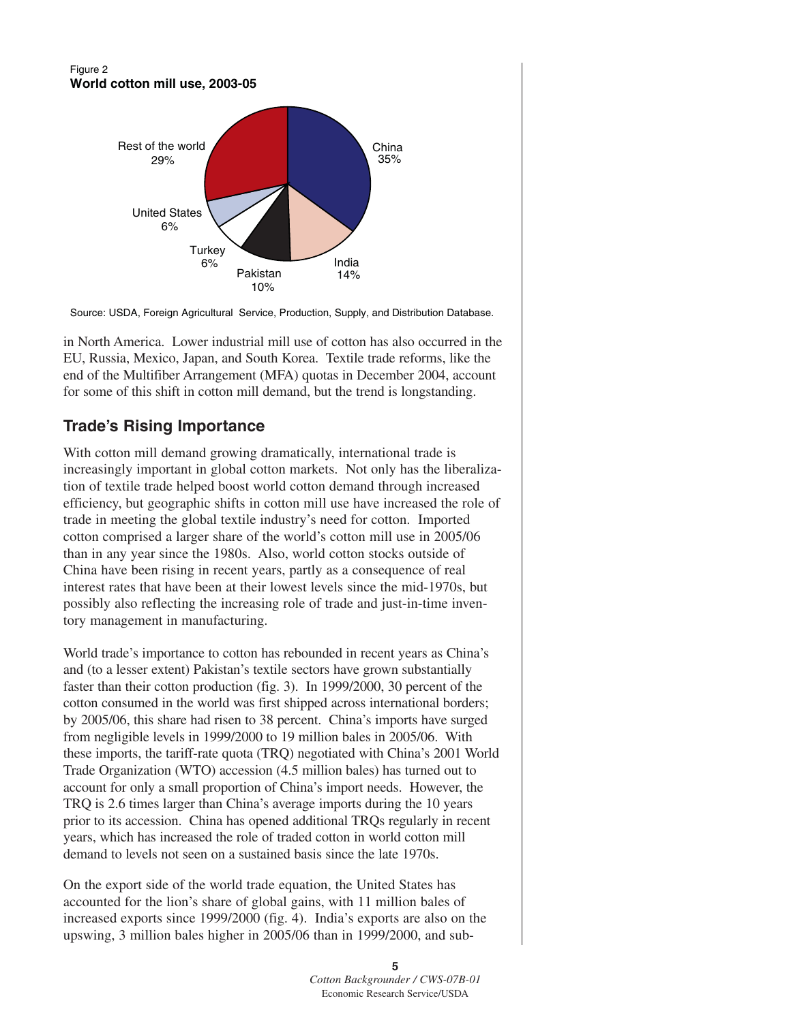#### Figure 2 **World cotton mill use, 2003-05**



Source: USDA, Foreign Agricultural Service, Production, Supply, and Distribution Database.

in North America. Lower industrial mill use of cotton has also occurred in the EU, Russia, Mexico, Japan, and South Korea. Textile trade reforms, like the end of the Multifiber Arrangement (MFA) quotas in December 2004, account for some of this shift in cotton mill demand, but the trend is longstanding.

# **Trade's Rising Importance**

With cotton mill demand growing dramatically, international trade is increasingly important in global cotton markets. Not only has the liberalization of textile trade helped boost world cotton demand through increased efficiency, but geographic shifts in cotton mill use have increased the role of trade in meeting the global textile industry's need for cotton. Imported cotton comprised a larger share of the world's cotton mill use in 2005/06 than in any year since the 1980s. Also, world cotton stocks outside of China have been rising in recent years, partly as a consequence of real interest rates that have been at their lowest levels since the mid-1970s, but possibly also reflecting the increasing role of trade and just-in-time inventory management in manufacturing.

World trade's importance to cotton has rebounded in recent years as China's and (to a lesser extent) Pakistan's textile sectors have grown substantially faster than their cotton production (fig. 3). In 1999/2000, 30 percent of the cotton consumed in the world was first shipped across international borders; by 2005/06, this share had risen to 38 percent. China's imports have surged from negligible levels in 1999/2000 to 19 million bales in 2005/06. With these imports, the tariff-rate quota (TRQ) negotiated with China's 2001 World Trade Organization (WTO) accession (4.5 million bales) has turned out to account for only a small proportion of China's import needs. However, the TRQ is 2.6 times larger than China's average imports during the 10 years prior to its accession. China has opened additional TRQs regularly in recent years, which has increased the role of traded cotton in world cotton mill demand to levels not seen on a sustained basis since the late 1970s.

On the export side of the world trade equation, the United States has accounted for the lion's share of global gains, with 11 million bales of increased exports since 1999/2000 (fig. 4). India's exports are also on the upswing, 3 million bales higher in 2005/06 than in 1999/2000, and sub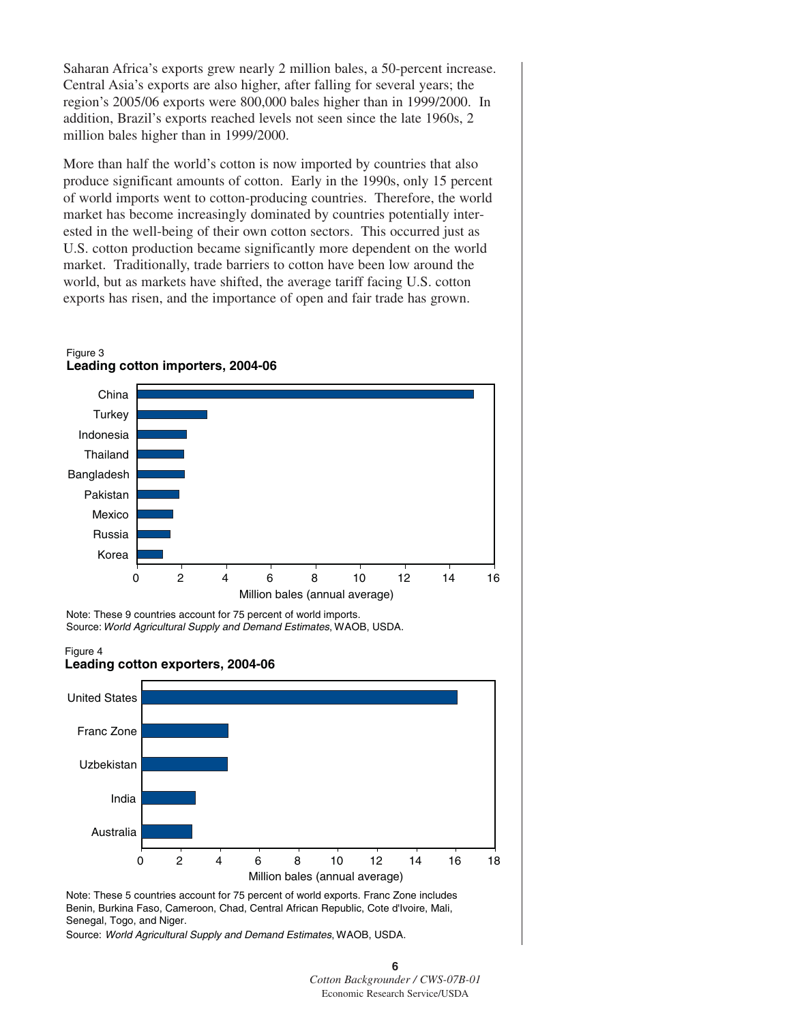Saharan Africa's exports grew nearly 2 million bales, a 50-percent increase. Central Asia's exports are also higher, after falling for several years; the region's 2005/06 exports were 800,000 bales higher than in 1999/2000. In addition, Brazil's exports reached levels not seen since the late 1960s, 2 million bales higher than in 1999/2000.

More than half the world's cotton is now imported by countries that also produce significant amounts of cotton. Early in the 1990s, only 15 percent of world imports went to cotton-producing countries. Therefore, the world market has become increasingly dominated by countries potentially interested in the well-being of their own cotton sectors. This occurred just as U.S. cotton production became significantly more dependent on the world market. Traditionally, trade barriers to cotton have been low around the world, but as markets have shifted, the average tariff facing U.S. cotton exports has risen, and the importance of open and fair trade has grown.



Note: These 5 countries account for 75 percent of world exports. Franc Zone includes Benin, Burkina Faso, Cameroon, Chad, Central African Republic, Cote d'Ivoire, Mali, Senegal, Togo, and Niger.

Million bales (annual average)

Source: *World Agricultural Supply and Demand Estimates*, WAOB, USDA.

**6**

*Cotton Backgrounder / CWS-07B-01* Economic Research Service/USDA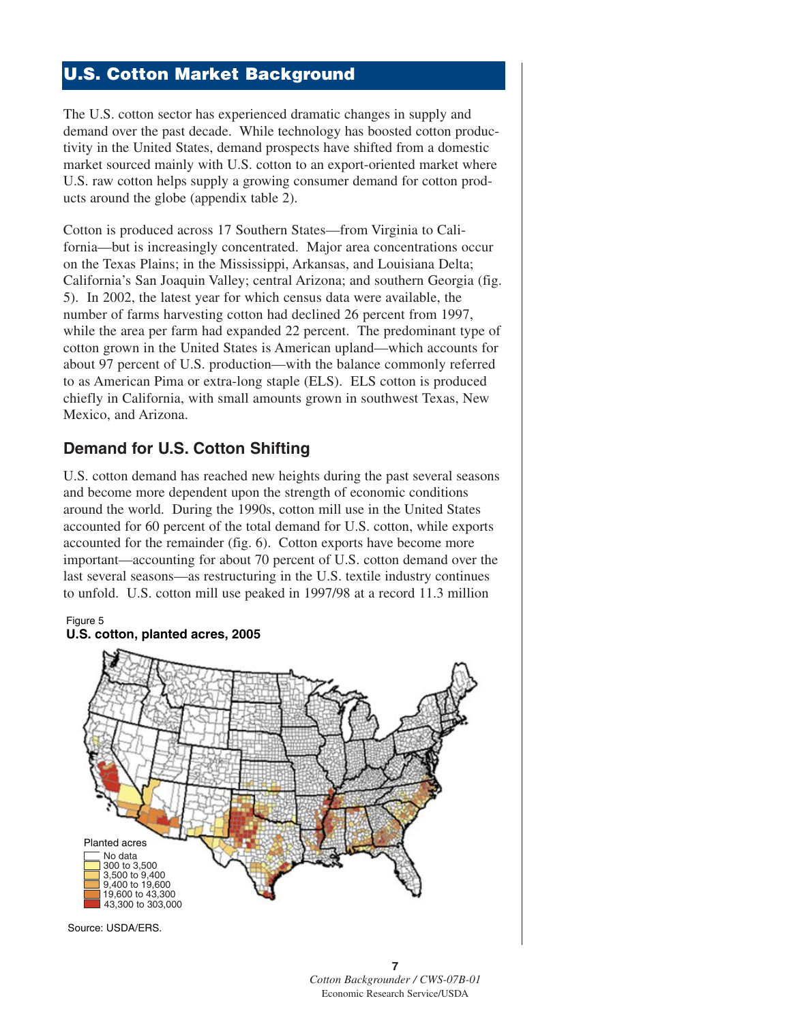# **U.S. Cotton Market Background**

The U.S. cotton sector has experienced dramatic changes in supply and demand over the past decade. While technology has boosted cotton productivity in the United States, demand prospects have shifted from a domestic market sourced mainly with U.S. cotton to an export-oriented market where U.S. raw cotton helps supply a growing consumer demand for cotton products around the globe (appendix table 2).

Cotton is produced across 17 Southern States—from Virginia to California—but is increasingly concentrated. Major area concentrations occur on the Texas Plains; in the Mississippi, Arkansas, and Louisiana Delta; California's San Joaquin Valley; central Arizona; and southern Georgia (fig. 5). In 2002, the latest year for which census data were available, the number of farms harvesting cotton had declined 26 percent from 1997, while the area per farm had expanded 22 percent. The predominant type of cotton grown in the United States is American upland—which accounts for about 97 percent of U.S. production—with the balance commonly referred to as American Pima or extra-long staple (ELS). ELS cotton is produced chiefly in California, with small amounts grown in southwest Texas, New Mexico, and Arizona.

# **Demand for U.S. Cotton Shifting**

U.S. cotton demand has reached new heights during the past several seasons and become more dependent upon the strength of economic conditions around the world. During the 1990s, cotton mill use in the United States accounted for 60 percent of the total demand for U.S. cotton, while exports accounted for the remainder (fig. 6). Cotton exports have become more important—accounting for about 70 percent of U.S. cotton demand over the last several seasons—as restructuring in the U.S. textile industry continues to unfold. U.S. cotton mill use peaked in 1997/98 at a record 11.3 million



Source: USDA/ERS.

Figure 5

**7** *Cotton Backgrounder / CWS-07B-01* Economic Research Service/USDA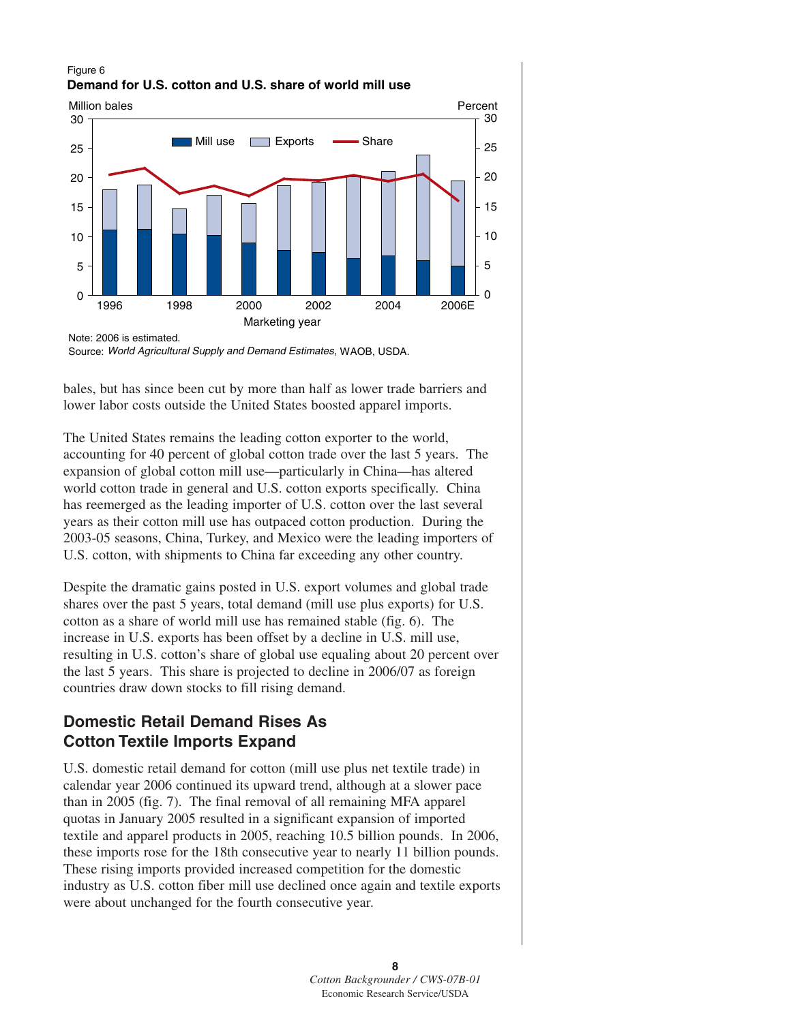#### Figure 6 **Demand for U.S. cotton and U.S. share of world mill use**



Note: 2006 is estimated. Source: *World Agricultural Supply and Demand Estimates*, WAOB, USDA.

bales, but has since been cut by more than half as lower trade barriers and lower labor costs outside the United States boosted apparel imports.

The United States remains the leading cotton exporter to the world, accounting for 40 percent of global cotton trade over the last 5 years. The expansion of global cotton mill use—particularly in China—has altered world cotton trade in general and U.S. cotton exports specifically. China has reemerged as the leading importer of U.S. cotton over the last several years as their cotton mill use has outpaced cotton production. During the 2003-05 seasons, China, Turkey, and Mexico were the leading importers of U.S. cotton, with shipments to China far exceeding any other country.

Despite the dramatic gains posted in U.S. export volumes and global trade shares over the past 5 years, total demand (mill use plus exports) for U.S. cotton as a share of world mill use has remained stable (fig. 6). The increase in U.S. exports has been offset by a decline in U.S. mill use, resulting in U.S. cotton's share of global use equaling about 20 percent over the last 5 years. This share is projected to decline in 2006/07 as foreign countries draw down stocks to fill rising demand.

# **Domestic Retail Demand Rises As Cotton Textile Imports Expand**

U.S. domestic retail demand for cotton (mill use plus net textile trade) in calendar year 2006 continued its upward trend, although at a slower pace than in 2005 (fig. 7). The final removal of all remaining MFA apparel quotas in January 2005 resulted in a significant expansion of imported textile and apparel products in 2005, reaching 10.5 billion pounds. In 2006, these imports rose for the 18th consecutive year to nearly 11 billion pounds. These rising imports provided increased competition for the domestic industry as U.S. cotton fiber mill use declined once again and textile exports were about unchanged for the fourth consecutive year.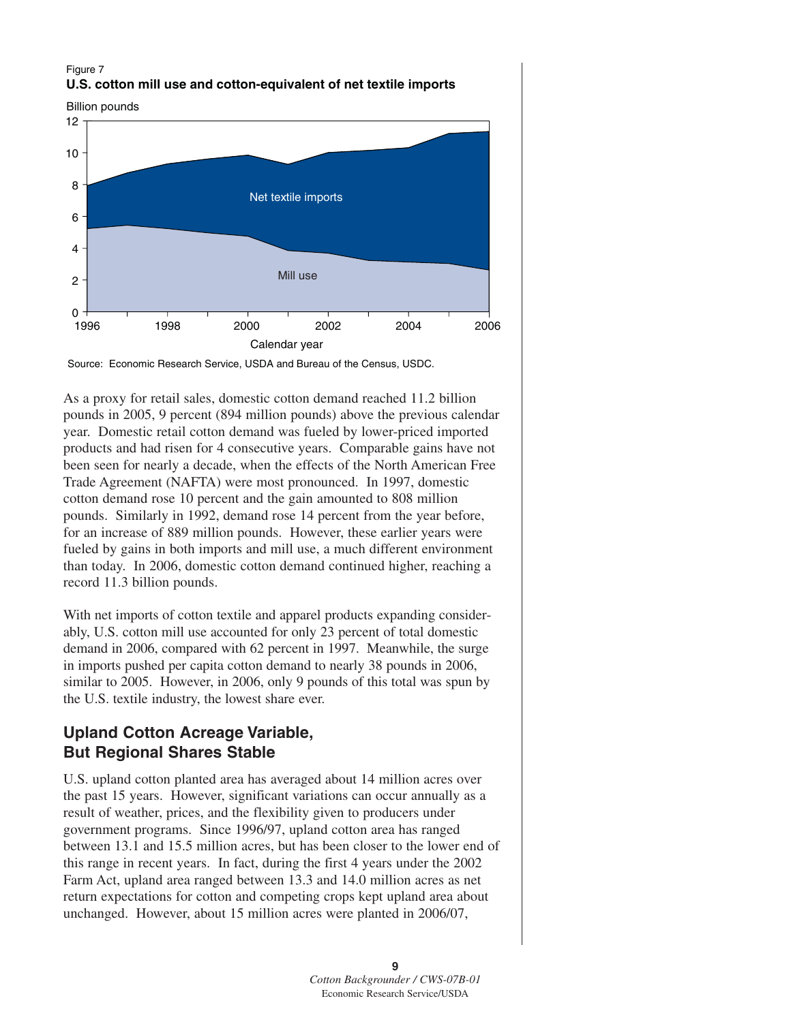#### Figure 7 **U.S. cotton mill use and cotton-equivalent of net textile imports**

Billion pounds



Source: Economic Research Service, USDA and Bureau of the Census, USDC.

As a proxy for retail sales, domestic cotton demand reached 11.2 billion pounds in 2005, 9 percent (894 million pounds) above the previous calendar year. Domestic retail cotton demand was fueled by lower-priced imported products and had risen for 4 consecutive years. Comparable gains have not been seen for nearly a decade, when the effects of the North American Free Trade Agreement (NAFTA) were most pronounced. In 1997, domestic cotton demand rose 10 percent and the gain amounted to 808 million pounds. Similarly in 1992, demand rose 14 percent from the year before, for an increase of 889 million pounds. However, these earlier years were fueled by gains in both imports and mill use, a much different environment than today. In 2006, domestic cotton demand continued higher, reaching a record 11.3 billion pounds.

With net imports of cotton textile and apparel products expanding considerably, U.S. cotton mill use accounted for only 23 percent of total domestic demand in 2006, compared with 62 percent in 1997. Meanwhile, the surge in imports pushed per capita cotton demand to nearly 38 pounds in 2006, similar to 2005. However, in 2006, only 9 pounds of this total was spun by the U.S. textile industry, the lowest share ever.

# **Upland Cotton Acreage Variable, But Regional Shares Stable**

U.S. upland cotton planted area has averaged about 14 million acres over the past 15 years. However, significant variations can occur annually as a result of weather, prices, and the flexibility given to producers under government programs. Since 1996/97, upland cotton area has ranged between 13.1 and 15.5 million acres, but has been closer to the lower end of this range in recent years. In fact, during the first 4 years under the 2002 Farm Act, upland area ranged between 13.3 and 14.0 million acres as net return expectations for cotton and competing crops kept upland area about unchanged. However, about 15 million acres were planted in 2006/07,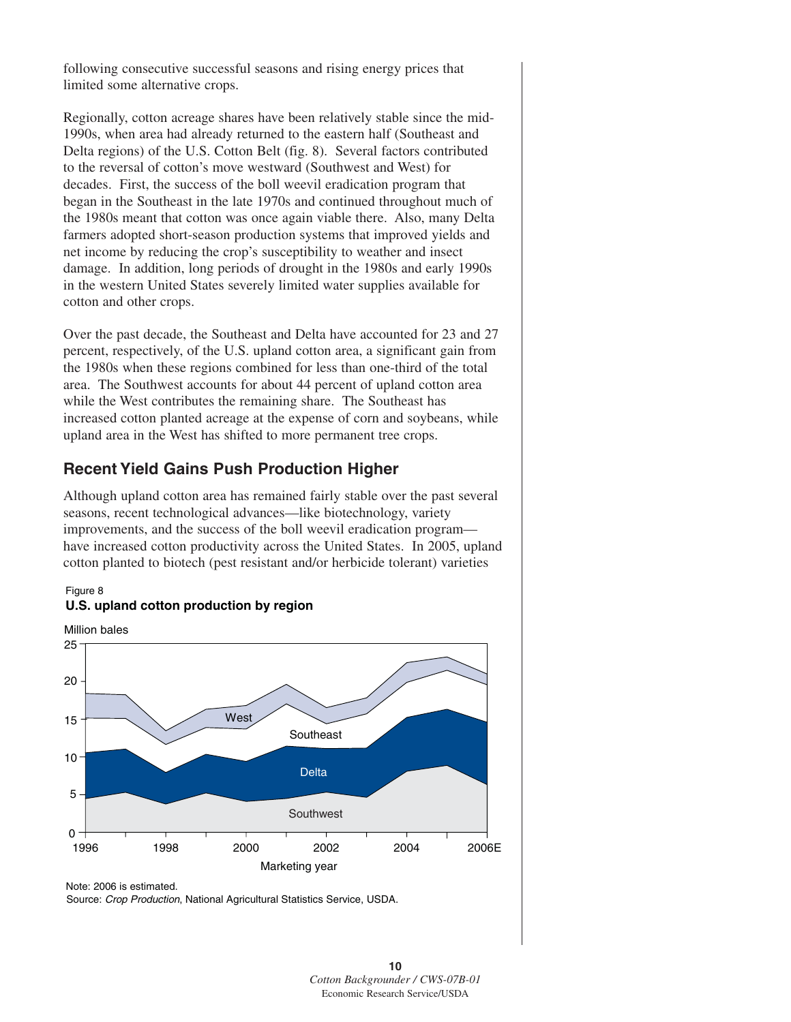following consecutive successful seasons and rising energy prices that limited some alternative crops.

Regionally, cotton acreage shares have been relatively stable since the mid-1990s, when area had already returned to the eastern half (Southeast and Delta regions) of the U.S. Cotton Belt (fig. 8). Several factors contributed to the reversal of cotton's move westward (Southwest and West) for decades. First, the success of the boll weevil eradication program that began in the Southeast in the late 1970s and continued throughout much of the 1980s meant that cotton was once again viable there. Also, many Delta farmers adopted short-season production systems that improved yields and net income by reducing the crop's susceptibility to weather and insect damage. In addition, long periods of drought in the 1980s and early 1990s in the western United States severely limited water supplies available for cotton and other crops.

Over the past decade, the Southeast and Delta have accounted for 23 and 27 percent, respectively, of the U.S. upland cotton area, a significant gain from the 1980s when these regions combined for less than one-third of the total area. The Southwest accounts for about 44 percent of upland cotton area while the West contributes the remaining share. The Southeast has increased cotton planted acreage at the expense of corn and soybeans, while upland area in the West has shifted to more permanent tree crops.

# **Recent Yield Gains Push Production Higher**

Although upland cotton area has remained fairly stable over the past several seasons, recent technological advances—like biotechnology, variety improvements, and the success of the boll weevil eradication program have increased cotton productivity across the United States. In 2005, upland cotton planted to biotech (pest resistant and/or herbicide tolerant) varieties





#### **U.S. upland cotton production by region**

Note: 2006 is estimated.

Source: *Crop Production*, National Agricultural Statistics Service, USDA.

**<sup>10</sup>** *Cotton Backgrounder / CWS-07B-01* Economic Research Service/USDA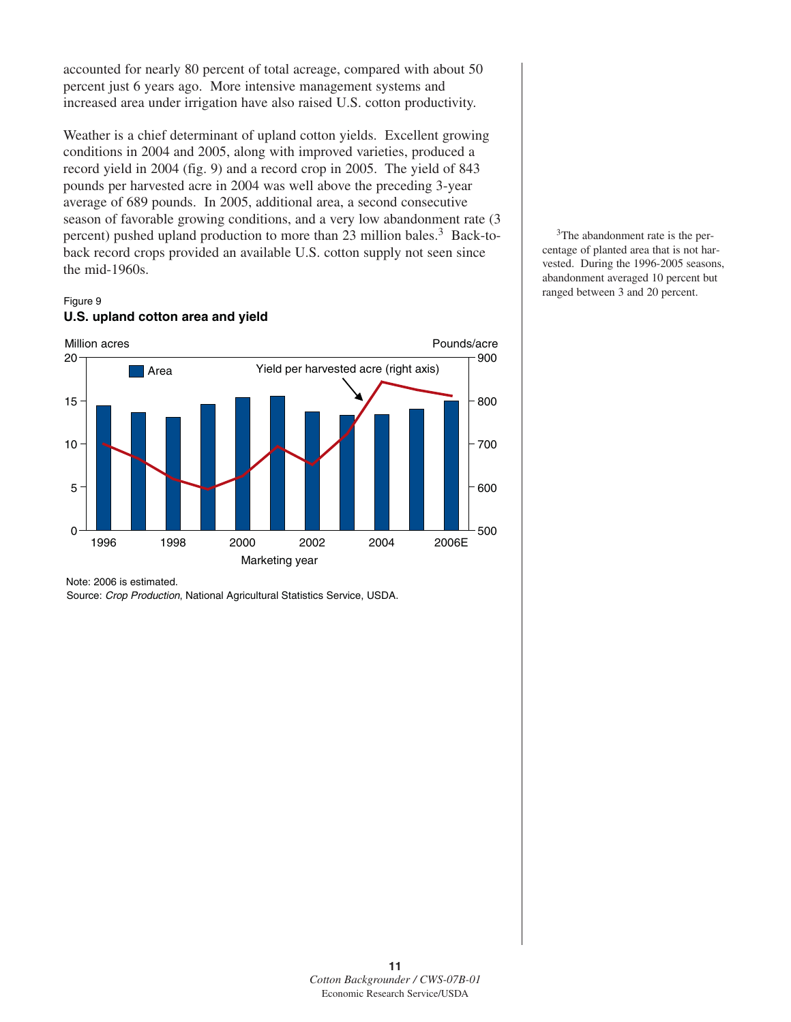accounted for nearly 80 percent of total acreage, compared with about 50 percent just 6 years ago. More intensive management systems and increased area under irrigation have also raised U.S. cotton productivity.

Weather is a chief determinant of upland cotton yields. Excellent growing conditions in 2004 and 2005, along with improved varieties, produced a record yield in 2004 (fig. 9) and a record crop in 2005. The yield of 843 pounds per harvested acre in 2004 was well above the preceding 3-year average of 689 pounds. In 2005, additional area, a second consecutive season of favorable growing conditions, and a very low abandonment rate (3 percent) pushed upland production to more than  $23$  million bales.<sup>3</sup> Back-toback record crops provided an available U.S. cotton supply not seen since the mid-1960s.

#### Figure 9 **U.S. upland cotton area and yield**



<sup>3</sup>The abandonment rate is the percentage of planted area that is not harvested. During the 1996-2005 seasons, abandonment averaged 10 percent but ranged between 3 and 20 percent.

Source: *Crop Production*, National Agricultural Statistics Service, USDA.

Note: 2006 is estimated.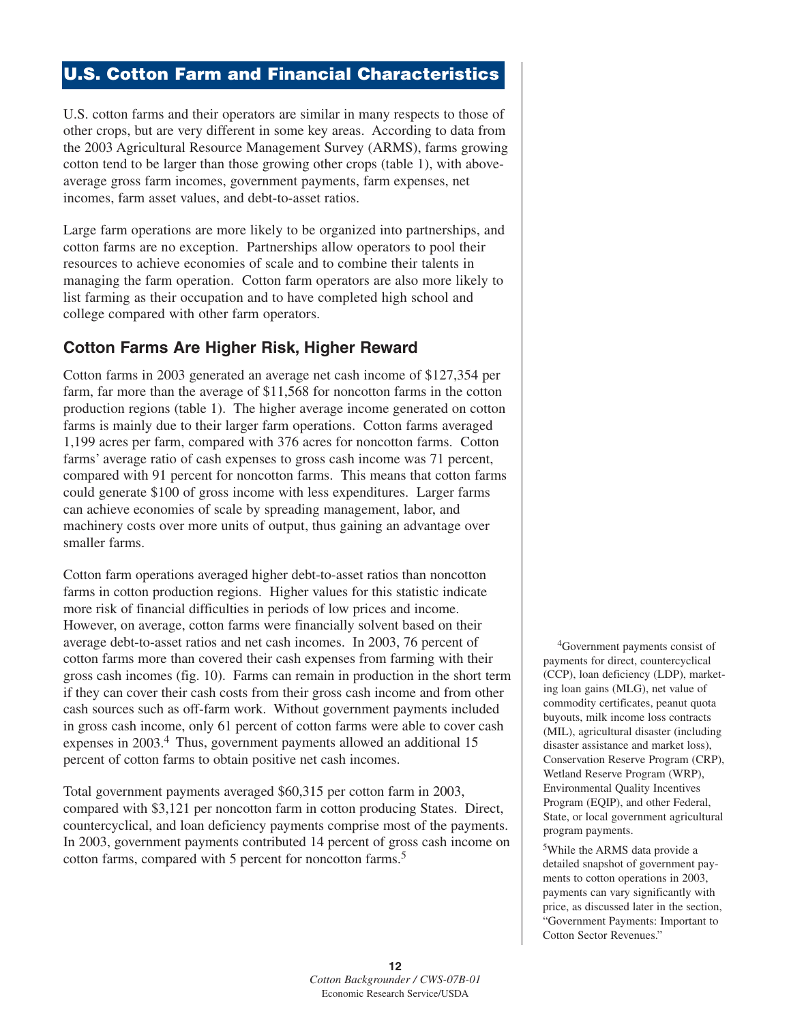# **U.S. Cotton Farm and Financial Characteristics**

U.S. cotton farms and their operators are similar in many respects to those of other crops, but are very different in some key areas. According to data from the 2003 Agricultural Resource Management Survey (ARMS), farms growing cotton tend to be larger than those growing other crops (table 1), with aboveaverage gross farm incomes, government payments, farm expenses, net incomes, farm asset values, and debt-to-asset ratios.

Large farm operations are more likely to be organized into partnerships, and cotton farms are no exception. Partnerships allow operators to pool their resources to achieve economies of scale and to combine their talents in managing the farm operation. Cotton farm operators are also more likely to list farming as their occupation and to have completed high school and college compared with other farm operators.

# **Cotton Farms Are Higher Risk, Higher Reward**

Cotton farms in 2003 generated an average net cash income of \$127,354 per farm, far more than the average of \$11,568 for noncotton farms in the cotton production regions (table 1). The higher average income generated on cotton farms is mainly due to their larger farm operations. Cotton farms averaged 1,199 acres per farm, compared with 376 acres for noncotton farms. Cotton farms' average ratio of cash expenses to gross cash income was 71 percent, compared with 91 percent for noncotton farms. This means that cotton farms could generate \$100 of gross income with less expenditures. Larger farms can achieve economies of scale by spreading management, labor, and machinery costs over more units of output, thus gaining an advantage over smaller farms.

Cotton farm operations averaged higher debt-to-asset ratios than noncotton farms in cotton production regions. Higher values for this statistic indicate more risk of financial difficulties in periods of low prices and income. However, on average, cotton farms were financially solvent based on their average debt-to-asset ratios and net cash incomes. In 2003, 76 percent of cotton farms more than covered their cash expenses from farming with their gross cash incomes (fig. 10). Farms can remain in production in the short term if they can cover their cash costs from their gross cash income and from other cash sources such as off-farm work. Without government payments included in gross cash income, only 61 percent of cotton farms were able to cover cash expenses in 2003.<sup>4</sup> Thus, government payments allowed an additional 15 percent of cotton farms to obtain positive net cash incomes.

Total government payments averaged \$60,315 per cotton farm in 2003, compared with \$3,121 per noncotton farm in cotton producing States. Direct, countercyclical, and loan deficiency payments comprise most of the payments. In 2003, government payments contributed 14 percent of gross cash income on cotton farms, compared with 5 percent for noncotton farms.<sup>5</sup>

4Government payments consist of payments for direct, countercyclical (CCP), loan deficiency (LDP), marketing loan gains (MLG), net value of commodity certificates, peanut quota buyouts, milk income loss contracts (MIL), agricultural disaster (including disaster assistance and market loss), Conservation Reserve Program (CRP), Wetland Reserve Program (WRP), Environmental Quality Incentives Program (EQIP), and other Federal, State, or local government agricultural program payments.

5While the ARMS data provide a detailed snapshot of government payments to cotton operations in 2003, payments can vary significantly with price, as discussed later in the section, "Government Payments: Important to Cotton Sector Revenues."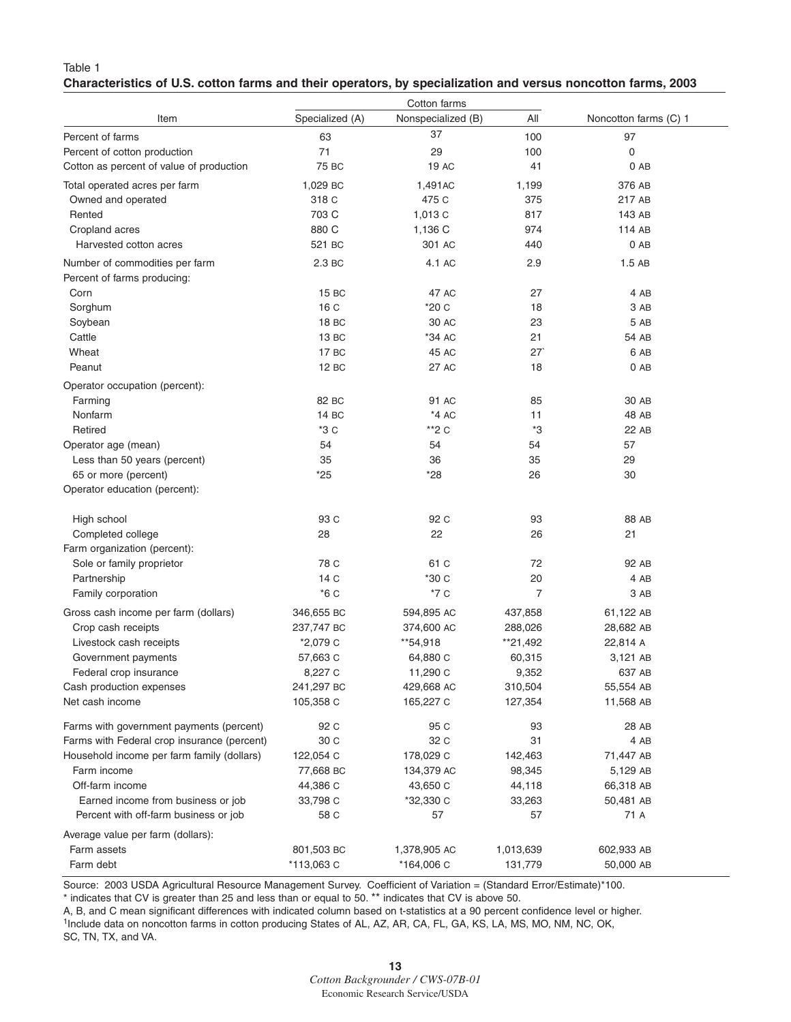#### Table 1 **Characteristics of U.S. cotton farms and their operators, by specialization and versus noncotton farms, 2003**

|                                             | Cotton farms    |                    |                |                       |  |
|---------------------------------------------|-----------------|--------------------|----------------|-----------------------|--|
| Item                                        | Specialized (A) | Nonspecialized (B) | All            | Noncotton farms (C) 1 |  |
| Percent of farms                            | 63              | 37                 | 100            | 97                    |  |
| Percent of cotton production                | 71              | 29                 | 100            | $\mathbf 0$           |  |
| Cotton as percent of value of production    | 75 BC           | 19 AC              | 41             | $0$ AB                |  |
| Total operated acres per farm               | 1,029 BC        | 1,491AC            | 1,199          | 376 AB                |  |
| Owned and operated                          | 318 C           | 475 C              | 375            | 217 AB                |  |
| Rented                                      | 703 C           | 1,013 C            | 817            | 143 AB                |  |
| Cropland acres                              | 880 C           | 1,136 C            | 974            | 114 AB                |  |
| Harvested cotton acres                      | 521 BC          | 301 AC             | 440            | 0 AB                  |  |
|                                             |                 |                    |                |                       |  |
| Number of commodities per farm              | 2.3 BC          | 4.1 AC             | 2.9            | 1.5AB                 |  |
| Percent of farms producing:                 |                 |                    |                |                       |  |
| Corn                                        | 15 BC           | 47 AC              | 27             | 4 AB                  |  |
| Sorghum                                     | 16 <sub>C</sub> | *20 C              | 18             | 3 AB                  |  |
| Soybean                                     | 18 BC           | 30 AC              | 23             | 5 AB                  |  |
| Cattle                                      | 13 BC           | *34 AC             | 21             | 54 AB                 |  |
| Wheat                                       | 17 BC           | 45 AC              | 27             | 6 AB                  |  |
| Peanut                                      | 12 BC           | 27 AC              | 18             | $0$ AB                |  |
| Operator occupation (percent):              |                 |                    |                |                       |  |
| Farming                                     | 82 BC           | 91 AC              | 85             | 30 AB                 |  |
| Nonfarm                                     | 14 BC           | $*4AC$             | 11             | 48 AB                 |  |
| Retired                                     | *3 C            | $*2C$              | *3             | 22 AB                 |  |
| Operator age (mean)                         | 54              | 54                 | 54             | 57                    |  |
| Less than 50 years (percent)                | 35              | 36                 | 35             | 29                    |  |
| 65 or more (percent)                        | $*25$           | *28                | 26             | 30                    |  |
| Operator education (percent):               |                 |                    |                |                       |  |
| High school                                 | 93 C            | 92 C               | 93             | 88 AB                 |  |
| Completed college                           | 28              | 22                 | 26             | 21                    |  |
| Farm organization (percent):                |                 |                    |                |                       |  |
| Sole or family proprietor                   | 78 C            | 61 C               | 72             | 92 AB                 |  |
| Partnership                                 | 14 <sub>C</sub> | *30 C              | 20             | 4 AB                  |  |
| Family corporation                          | $*6C$           | *7 C               | $\overline{7}$ | 3 AB                  |  |
| Gross cash income per farm (dollars)        | 346,655 BC      | 594,895 AC         | 437,858        | 61,122 AB             |  |
| Crop cash receipts                          | 237,747 BC      | 374,600 AC         | 288,026        | 28,682 AB             |  |
| Livestock cash receipts                     | *2,079 C        | **54,918           | **21,492       | 22,814 A              |  |
| Government payments                         | 57,663 C        | 64,880 C           | 60,315         | 3,121 AB              |  |
| Federal crop insurance                      | 8,227 C         | 11,290 C           | 9,352          | 637 AB                |  |
| Cash production expenses                    | 241,297 BC      | 429,668 AC         | 310,504        | 55,554 AB             |  |
| Net cash income                             | 105,358 C       | 165,227 C          | 127,354        | 11,568 AB             |  |
|                                             |                 |                    |                |                       |  |
| Farms with government payments (percent)    | 92 C            | 95 C               | 93             | 28 AB                 |  |
| Farms with Federal crop insurance (percent) | 30 C            | 32 C               | 31             | 4 AB                  |  |
| Household income per farm family (dollars)  | 122,054 C       | 178,029 C          | 142,463        | 71,447 AB             |  |
| Farm income                                 | 77,668 BC       | 134,379 AC         | 98,345         | 5,129 AB              |  |
| Off-farm income                             | 44,386 C        | 43,650 C           | 44,118         | 66,318 AB             |  |
| Earned income from business or job          | 33,798 C        | *32,330 C          | 33,263         | 50,481 AB             |  |
| Percent with off-farm business or job       | 58 C            | 57                 | 57             | 71 A                  |  |
| Average value per farm (dollars):           |                 |                    |                |                       |  |
| Farm assets                                 | 801,503 BC      | 1,378,905 AC       | 1,013,639      | 602,933 AB            |  |
| Farm debt                                   | *113,063 C      | *164,006 C         | 131,779        | 50,000 AB             |  |
|                                             |                 |                    |                |                       |  |

Source: 2003 USDA Agricultural Resource Management Survey. Coefficient of Variation = (Standard Error/Estimate)\*100.

\* indicates that CV is greater than 25 and less than or equal to 50. \*\* indicates that CV is above 50.

A, B, and C mean significant differences with indicated column based on t-statistics at a 90 percent confidence level or higher. 1Include data on noncotton farms in cotton producing States of AL, AZ, AR, CA, FL, GA, KS, LA, MS, MO, NM, NC, OK,

SC, TN, TX, and VA.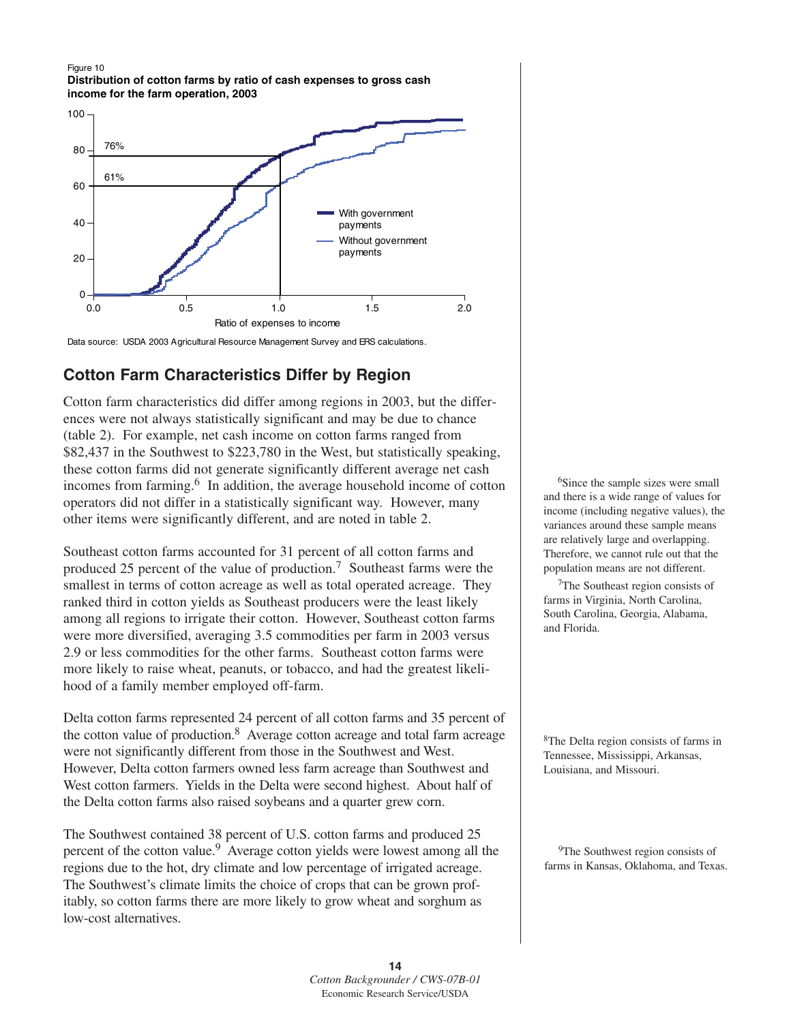



Data source: USDA 2003 Agricultural Resource Management Survey and ERS calculations.

# **Cotton Farm Characteristics Differ by Region**

Cotton farm characteristics did differ among regions in 2003, but the differences were not always statistically significant and may be due to chance (table 2). For example, net cash income on cotton farms ranged from \$82,437 in the Southwest to \$223,780 in the West, but statistically speaking, these cotton farms did not generate significantly different average net cash incomes from farming.<sup>6</sup> In addition, the average household income of cotton operators did not differ in a statistically significant way. However, many other items were significantly different, and are noted in table 2.

Southeast cotton farms accounted for 31 percent of all cotton farms and produced 25 percent of the value of production.<sup>7</sup> Southeast farms were the smallest in terms of cotton acreage as well as total operated acreage. They ranked third in cotton yields as Southeast producers were the least likely among all regions to irrigate their cotton. However, Southeast cotton farms were more diversified, averaging 3.5 commodities per farm in 2003 versus 2.9 or less commodities for the other farms. Southeast cotton farms were more likely to raise wheat, peanuts, or tobacco, and had the greatest likelihood of a family member employed off-farm.

Delta cotton farms represented 24 percent of all cotton farms and 35 percent of the cotton value of production. $8$  Average cotton acreage and total farm acreage were not significantly different from those in the Southwest and West. However, Delta cotton farmers owned less farm acreage than Southwest and West cotton farmers. Yields in the Delta were second highest. About half of the Delta cotton farms also raised soybeans and a quarter grew corn.

The Southwest contained 38 percent of U.S. cotton farms and produced 25 percent of the cotton value.9 Average cotton yields were lowest among all the regions due to the hot, dry climate and low percentage of irrigated acreage. The Southwest's climate limits the choice of crops that can be grown profitably, so cotton farms there are more likely to grow wheat and sorghum as low-cost alternatives.

<sup>6</sup>Since the sample sizes were small and there is a wide range of values for income (including negative values), the variances around these sample means are relatively large and overlapping. Therefore, we cannot rule out that the population means are not different.

7The Southeast region consists of farms in Virginia, North Carolina, South Carolina, Georgia, Alabama, and Florida.

<sup>8</sup>The Delta region consists of farms in Tennessee, Mississippi, Arkansas, Louisiana, and Missouri.

<sup>9</sup>The Southwest region consists of farms in Kansas, Oklahoma, and Texas.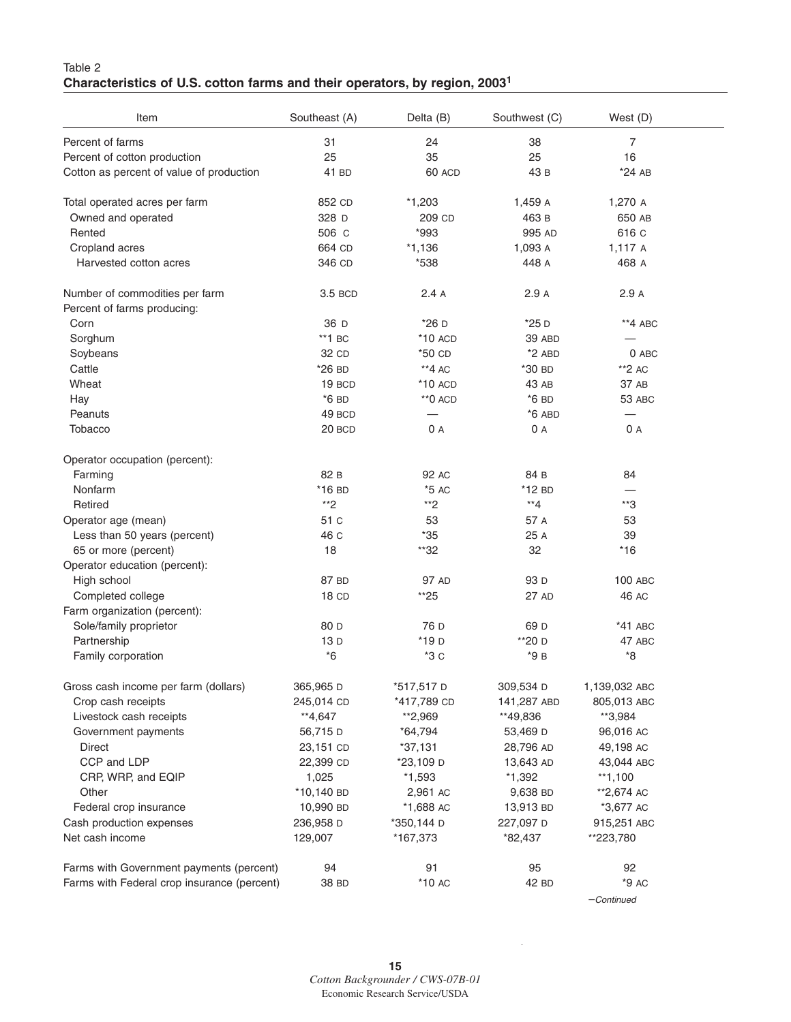#### Table 2 **Characteristics of U.S. cotton farms and their operators, by region, 20031**

| Item                                        | Southeast (A)    | Delta (B)                | Southwest (C)      | West (D)                         |
|---------------------------------------------|------------------|--------------------------|--------------------|----------------------------------|
| Percent of farms                            | 31               | 24                       | 38                 | $\overline{7}$                   |
| Percent of cotton production                | 25               | 35                       | 25                 | 16                               |
| Cotton as percent of value of production    | 41 BD            | 60 ACD                   | 43 B               | *24 AB                           |
| Total operated acres per farm               | 852 CD           | $*1,203$                 | 1,459 A            | 1,270 A                          |
| Owned and operated                          | 328 D            | 209 CD                   | 463 B              | 650 AB                           |
| Rented                                      | 506 C            | *993                     | 995 AD             | 616 C                            |
| Cropland acres                              | 664 CD           | $*1,136$                 | 1,093 A            | 1,117 A                          |
| Harvested cotton acres                      | 346 CD           | *538                     | 448 A              | 468 A                            |
| Number of commodities per farm              | 3.5 BCD          | 2.4A                     | 2.9A               | 2.9A                             |
| Percent of farms producing:                 |                  |                          |                    |                                  |
| Corn                                        | 36 D             | *26 D                    | $*25D$             | **4 ABC                          |
| Sorghum                                     | $*$ 1 BC         | $*10$ ACD                | 39 ABD             |                                  |
| Soybeans                                    | 32 CD            | *50 CD                   | $*2$ ABD           | $0$ ABC                          |
| Cattle                                      | *26 BD           | $*$ 4 AC                 | *30 BD             | $*2AC$                           |
| Wheat                                       | 19 BCD           | $*10$ ACD                | 43 AB              | 37 AB                            |
| Hay                                         | $*6$ BD          | $*$ <sup>0</sup> ACD     | $*6$ BD            | 53 ABC                           |
| Peanuts                                     | 49 BCD           | $\overline{\phantom{0}}$ | $*6$ ABD           | $\overbrace{\phantom{12322111}}$ |
| Tobacco                                     | 20 BCD           | 0A                       | 0 A                | 0 A                              |
| Operator occupation (percent):              |                  |                          |                    |                                  |
| Farming                                     | 82 B             | 92 AC                    | 84 B               | 84                               |
| Nonfarm                                     | $*16$ BD         | $*5AC$                   | $*12$ BD           |                                  |
| Retired                                     | **2              | **2                      | $*$ <sup>*</sup> 4 | **3                              |
| Operator age (mean)                         | 51 C             | 53                       | 57 A               | 53                               |
| Less than 50 years (percent)                | 46 C             | $*35$                    | 25 A               | 39                               |
| 65 or more (percent)                        | 18               | **32                     | 32                 | $*16$                            |
| Operator education (percent):               |                  |                          |                    |                                  |
| High school                                 | 87 BD            | 97 AD                    | 93 D               | <b>100 ABC</b>                   |
| Completed college                           | 18 <sub>CD</sub> | $*25$                    | 27 AD              | 46 AC                            |
| Farm organization (percent):                |                  |                          |                    |                                  |
| Sole/family proprietor                      | 80 D             | 76 D                     | 69 D               | *41 ABC                          |
| Partnership                                 | 13D              | *19 <sub>D</sub>         | **20 D             | 47 ABC                           |
| Family corporation                          | $^*6$            | $*3c$                    | *9 в               | *8                               |
| Gross cash income per farm (dollars)        | 365,965 D        | *517,517 D               | 309,534 D          | 1,139,032 ABC                    |
| Crop cash receipts                          | 245,014 CD       | *417,789 CD              | 141,287 ABD        | 805,013 ABC                      |
| Livestock cash receipts                     | **4,647          | **2,969                  | **49,836           | **3,984                          |
| Government payments                         | 56,715 D         | $*64,794$                | 53,469 D           | 96,016 AC                        |
| <b>Direct</b>                               | 23,151 CD        | $*37,131$                | 28,796 AD          | 49,198 AC                        |
| CCP and LDP                                 | 22,399 CD        | *23,109 D                | 13,643 AD          | 43,044 ABC                       |
| CRP, WRP, and EQIP                          | 1,025            | $*1,593$                 | $*1,392$           | $**1,100$                        |
| Other                                       | *10,140 BD       | 2,961 AC                 | 9,638 BD           | **2,674 AC                       |
| Federal crop insurance                      | 10,990 BD        | *1,688 AC                | 13,913 BD          | *3,677 AC                        |
| Cash production expenses                    | 236,958 D        | *350,144 D               | 227,097 D          | 915,251 ABC                      |
| Net cash income                             | 129,007          | *167,373                 | *82,437            | **223,780                        |
| Farms with Government payments (percent)    | 94               | 91                       | 95                 | 92                               |
| Farms with Federal crop insurance (percent) | 38 BD            | $*10$ AC                 | 42 BD              | $*9AC$                           |
|                                             |                  |                          |                    | $-Continued$                     |

 $\bar{z}$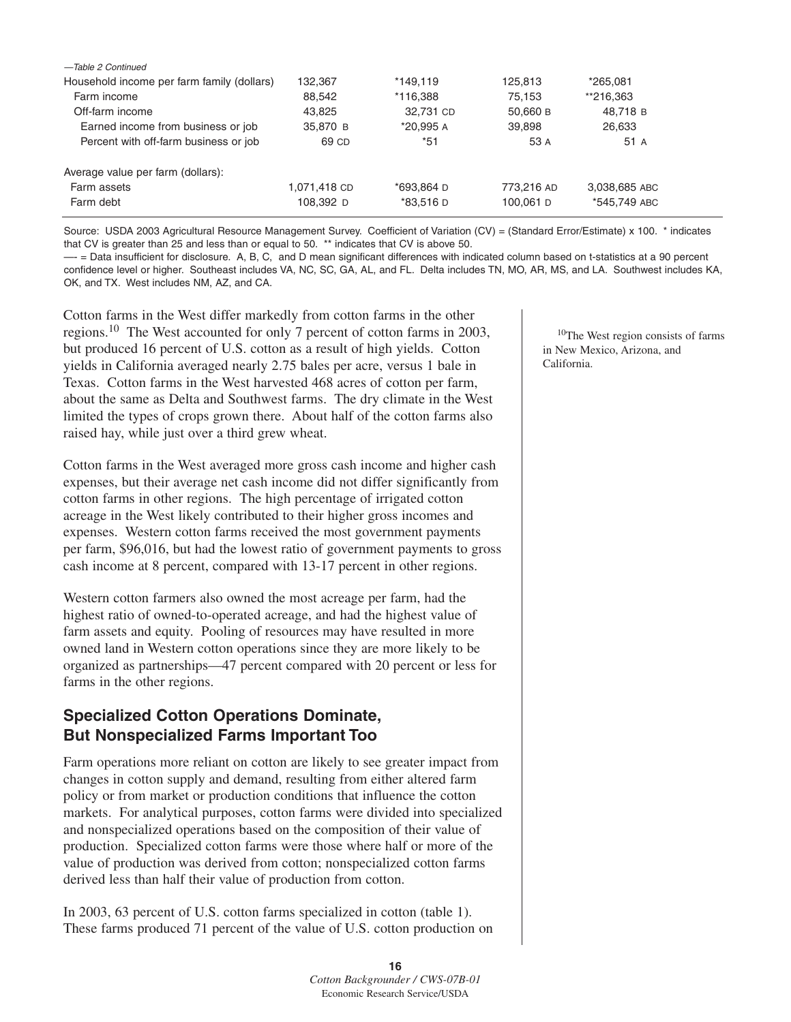| -Table 2 Continued                         |              |            |            |               |  |
|--------------------------------------------|--------------|------------|------------|---------------|--|
| Household income per farm family (dollars) | 132.367      | *149.119   | 125,813    | *265.081      |  |
| Farm income                                | 88,542       | *116.388   | 75.153     | **216.363     |  |
| Off-farm income                            | 43.825       | 32,731 CD  | 50,660 B   | 48.718 B      |  |
| Earned income from business or job         | 35,870 B     | *20,995 A  | 39,898     | 26,633        |  |
| Percent with off-farm business or job      | 69 CD        | *51        | 53 A       | 51 A          |  |
| Average value per farm (dollars):          |              |            |            |               |  |
| Farm assets                                | 1,071,418 CD | *693,864 D | 773,216 AD | 3,038,685 ABC |  |
| Farm debt                                  | 108,392 D    | *83,516 D  | 100,061 D  | *545,749 ABC  |  |
|                                            |              |            |            |               |  |

Source: USDA 2003 Agricultural Resource Management Survey. Coefficient of Variation (CV) = (Standard Error/Estimate) x 100. \* indicates that CV is greater than 25 and less than or equal to 50. \*\* indicates that CV is above 50.

—- = Data insufficient for disclosure. A, B, C, and D mean significant differences with indicated column based on t-statistics at a 90 percent confidence level or higher. Southeast includes VA, NC, SC, GA, AL, and FL. Delta includes TN, MO, AR, MS, and LA. Southwest includes KA, OK, and TX. West includes NM, AZ, and CA.

Cotton farms in the West differ markedly from cotton farms in the other regions.<sup>10</sup> The West accounted for only 7 percent of cotton farms in 2003, but produced 16 percent of U.S. cotton as a result of high yields. Cotton yields in California averaged nearly 2.75 bales per acre, versus 1 bale in Texas. Cotton farms in the West harvested 468 acres of cotton per farm, about the same as Delta and Southwest farms. The dry climate in the West limited the types of crops grown there. About half of the cotton farms also raised hay, while just over a third grew wheat.

Cotton farms in the West averaged more gross cash income and higher cash expenses, but their average net cash income did not differ significantly from cotton farms in other regions. The high percentage of irrigated cotton acreage in the West likely contributed to their higher gross incomes and expenses. Western cotton farms received the most government payments per farm, \$96,016, but had the lowest ratio of government payments to gross cash income at 8 percent, compared with 13-17 percent in other regions.

Western cotton farmers also owned the most acreage per farm, had the highest ratio of owned-to-operated acreage, and had the highest value of farm assets and equity. Pooling of resources may have resulted in more owned land in Western cotton operations since they are more likely to be organized as partnerships—47 percent compared with 20 percent or less for farms in the other regions.

# **Specialized Cotton Operations Dominate, But Nonspecialized Farms Important Too**

Farm operations more reliant on cotton are likely to see greater impact from changes in cotton supply and demand, resulting from either altered farm policy or from market or production conditions that influence the cotton markets. For analytical purposes, cotton farms were divided into specialized and nonspecialized operations based on the composition of their value of production. Specialized cotton farms were those where half or more of the value of production was derived from cotton; nonspecialized cotton farms derived less than half their value of production from cotton.

In 2003, 63 percent of U.S. cotton farms specialized in cotton (table 1). These farms produced 71 percent of the value of U.S. cotton production on

10The West region consists of farms in New Mexico, Arizona, and California.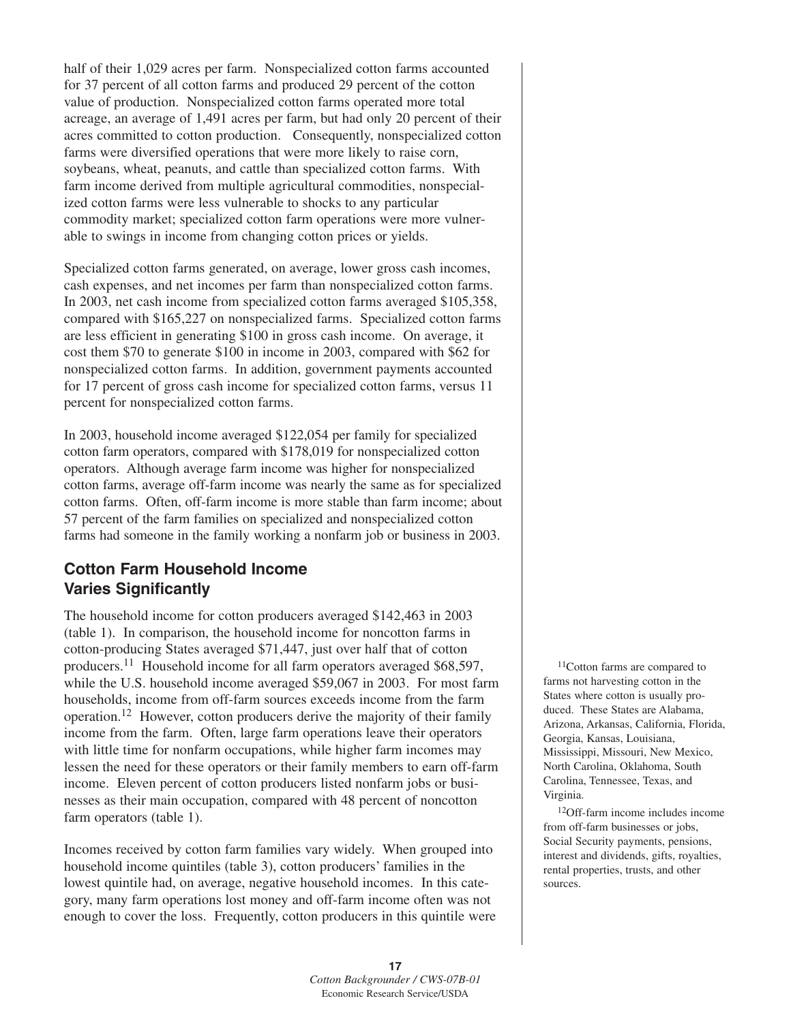half of their 1,029 acres per farm. Nonspecialized cotton farms accounted for 37 percent of all cotton farms and produced 29 percent of the cotton value of production. Nonspecialized cotton farms operated more total acreage, an average of 1,491 acres per farm, but had only 20 percent of their acres committed to cotton production. Consequently, nonspecialized cotton farms were diversified operations that were more likely to raise corn, soybeans, wheat, peanuts, and cattle than specialized cotton farms. With farm income derived from multiple agricultural commodities, nonspecialized cotton farms were less vulnerable to shocks to any particular commodity market; specialized cotton farm operations were more vulnerable to swings in income from changing cotton prices or yields.

Specialized cotton farms generated, on average, lower gross cash incomes, cash expenses, and net incomes per farm than nonspecialized cotton farms. In 2003, net cash income from specialized cotton farms averaged \$105,358, compared with \$165,227 on nonspecialized farms. Specialized cotton farms are less efficient in generating \$100 in gross cash income. On average, it cost them \$70 to generate \$100 in income in 2003, compared with \$62 for nonspecialized cotton farms. In addition, government payments accounted for 17 percent of gross cash income for specialized cotton farms, versus 11 percent for nonspecialized cotton farms.

In 2003, household income averaged \$122,054 per family for specialized cotton farm operators, compared with \$178,019 for nonspecialized cotton operators. Although average farm income was higher for nonspecialized cotton farms, average off-farm income was nearly the same as for specialized cotton farms. Often, off-farm income is more stable than farm income; about 57 percent of the farm families on specialized and nonspecialized cotton farms had someone in the family working a nonfarm job or business in 2003.

# **Cotton Farm Household Income Varies Significantly**

The household income for cotton producers averaged \$142,463 in 2003 (table 1). In comparison, the household income for noncotton farms in cotton-producing States averaged \$71,447, just over half that of cotton producers.<sup>11</sup> Household income for all farm operators averaged \$68,597, while the U.S. household income averaged \$59,067 in 2003. For most farm households, income from off-farm sources exceeds income from the farm operation.12 However, cotton producers derive the majority of their family income from the farm. Often, large farm operations leave their operators with little time for nonfarm occupations, while higher farm incomes may lessen the need for these operators or their family members to earn off-farm income. Eleven percent of cotton producers listed nonfarm jobs or businesses as their main occupation, compared with 48 percent of noncotton farm operators (table 1).

Incomes received by cotton farm families vary widely. When grouped into household income quintiles (table 3), cotton producers' families in the lowest quintile had, on average, negative household incomes. In this category, many farm operations lost money and off-farm income often was not enough to cover the loss. Frequently, cotton producers in this quintile were

11Cotton farms are compared to farms not harvesting cotton in the States where cotton is usually produced. These States are Alabama, Arizona, Arkansas, California, Florida, Georgia, Kansas, Louisiana, Mississippi, Missouri, New Mexico, North Carolina, Oklahoma, South Carolina, Tennessee, Texas, and Virginia.

12Off-farm income includes income from off-farm businesses or jobs, Social Security payments, pensions, interest and dividends, gifts, royalties, rental properties, trusts, and other sources.